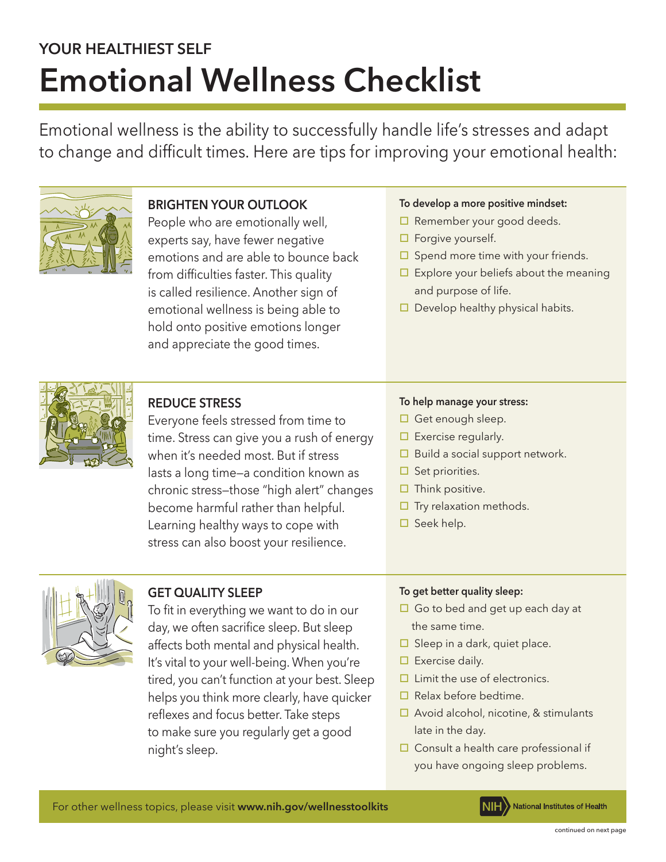# **YOUR HEALTHIEST SELF Emotional Wellness Checklist**

Emotional wellness is the ability to successfully handle life's stresses and adapt to change and difficult times. Here are tips for improving your emotional health:



# **BRIGHTEN YOUR OUTLOOK**

People who are emotionally well, experts say, have fewer negative emotions and are able to bounce back from difficulties faster. This quality is called resilience. Another sign of emotional wellness is being able to hold onto positive emotions longer and appreciate the good times.

## **To develop a more positive mindset:**

- $\Box$  Remember your good deeds.
- $\square$  Forgive yourself.
- $\Box$  Spend more time with your friends.
- $\Box$  Explore your beliefs about the meaning and purpose of life.
- $\Box$  Develop healthy physical habits.



# **REDUCE STRESS**

Everyone feels stressed from time to time. Stress can give you a rush of energy when it's needed most. But if stress lasts a long time—a condition known as chronic stress—those "high alert" changes become harmful rather than helpful. Learning healthy ways to cope with stress can also boost your resilience.

## **To help manage your stress:**

- $\Box$  Get enough sleep.
- $\Box$  Exercise regularly.
- $\Box$  Build a social support network.
- $\Box$  Set priorities.
- $\Box$  Think positive.
- $\square$  Try relaxation methods.
- $\Box$  Seek help.



## **GET QUALITY SLEEP**

To fit in everything we want to do in our day, we often sacrifice sleep. But sleep affects both mental and physical health. It's vital to your well-being. When you're tired, you can't function at your best. Sleep helps you think more clearly, have quicker reflexes and focus better. Take steps to make sure you regularly get a good night's sleep.

#### **To get better quality sleep:**

- $\Box$  Go to bed and get up each day at the same time.
- $\Box$  Sleep in a dark, quiet place.
- $\Box$  Exercise daily.
- $\Box$  Limit the use of electronics.
- $\Box$  Relax before bedtime.
- $\Box$  Avoid alcohol, nicotine, & stimulants late in the day.
- $\Box$  Consult a health care professional if you have ongoing sleep problems.

For other wellness topics, please visit **www.nih.gov/wellnesstoolkits**